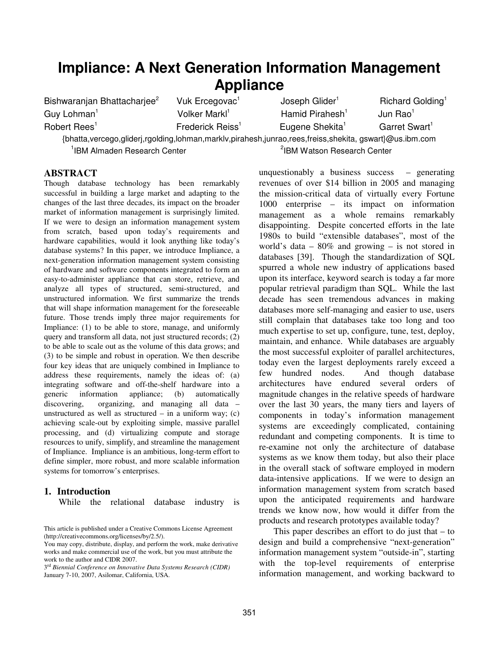# **Impliance: A Next Generation Information Management Appliance**

| Bishwaranjan Bhattacharjee <sup>2</sup>                                                                          | Vuk Ercegovac <sup>1</sup>   | Joseph Glider <sup>1</sup>              | Richard Golding <sup>1</sup> |
|------------------------------------------------------------------------------------------------------------------|------------------------------|-----------------------------------------|------------------------------|
| Guy Lohman <sup>1</sup>                                                                                          | Volker Markl <sup>1</sup>    | Hamid Pirahesh <sup>1</sup>             | Jun $\text{Rao}^1$           |
| Robert Rees <sup>1</sup>                                                                                         | Frederick Reiss <sup>1</sup> | Eugene Shekita <sup>1</sup>             | Garret Swart <sup>1</sup>    |
| {bhatta, vercego, gliderj, rgolding, lohman, markly, pirahesh, junrao, rees, freiss, shekita, gswart}@us.ibm.com |                              |                                         |                              |
| <sup>1</sup> IBM Almaden Research Center                                                                         |                              | <sup>2</sup> IBM Watson Research Center |                              |

#### **ABSTRACT**

Though database technology has been remarkably successful in building a large market and adapting to the changes of the last three decades, its impact on the broader market of information management is surprisingly limited. If we were to design an information management system from scratch, based upon today's requirements and hardware capabilities, would it look anything like today's database systems? In this paper, we introduce Impliance, a next-generation information management system consisting of hardware and software components integrated to form an easy-to-administer appliance that can store, retrieve, and analyze all types of structured, semi-structured, and unstructured information. We first summarize the trends that will shape information management for the foreseeable future. Those trends imply three major requirements for Impliance: (1) to be able to store, manage, and uniformly query and transform all data, not just structured records; (2) to be able to scale out as the volume of this data grows; and (3) to be simple and robust in operation. We then describe four key ideas that are uniquely combined in Impliance to address these requirements, namely the ideas of: (a) integrating software and off-the-shelf hardware into a generic information appliance; (b) automatically discovering, organizing, and managing all data – unstructured as well as structured – in a uniform way;  $(c)$ achieving scale-out by exploiting simple, massive parallel processing, and (d) virtualizing compute and storage resources to unify, simplify, and streamline the management of Impliance. Impliance is an ambitious, long-term effort to define simpler, more robust, and more scalable information systems for tomorrow's enterprises.

#### **1. Introduction**

While the relational database industry is

This article is published under a Creative Commons License Agreement (http://creativecommons.org/licenses/by/2.5/).

3rd *Biennial Conference on Innovative Data Systems Research (CIDR)* January 7-10, 2007, Asilomar, California, USA.

unquestionably a business success – generating revenues of over \$14 billion in 2005 and managing the mission-critical data of virtually every Fortune 1000 enterprise – its impact on information management as a whole remains remarkably disappointing. Despite concerted efforts in the late 1980s to build "extensible databases", most of the world's data  $-80\%$  and growing  $-$  is not stored in databases [39]. Though the standardization of SQL spurred a whole new industry of applications based upon its interface, keyword search is today a far more popular retrieval paradigm than SQL. While the last decade has seen tremendous advances in making databases more self-managing and easier to use, users still complain that databases take too long and too much expertise to set up, configure, tune, test, deploy, maintain, and enhance. While databases are arguably the most successful exploiter of parallel architectures, today even the largest deployments rarely exceed a few hundred nodes. And though database architectures have endured several orders of magnitude changes in the relative speeds of hardware over the last 30 years, the many tiers and layers of components in today's information management systems are exceedingly complicated, containing redundant and competing components. It is time to re-examine not only the architecture of database systems as we know them today, but also their place in the overall stack of software employed in modern data-intensive applications. If we were to design an information management system from scratch based upon the anticipated requirements and hardware trends we know now, how would it differ from the products and research prototypes available today?

This paper describes an effort to do just that  $-$  to design and build a comprehensive "next-generation" information management system "outside-in", starting with the top-level requirements of enterprise information management, and working backward to

You may copy, distribute, display, and perform the work, make derivative works and make commercial use of the work, but you must attribute the work to the author and CIDR 2007.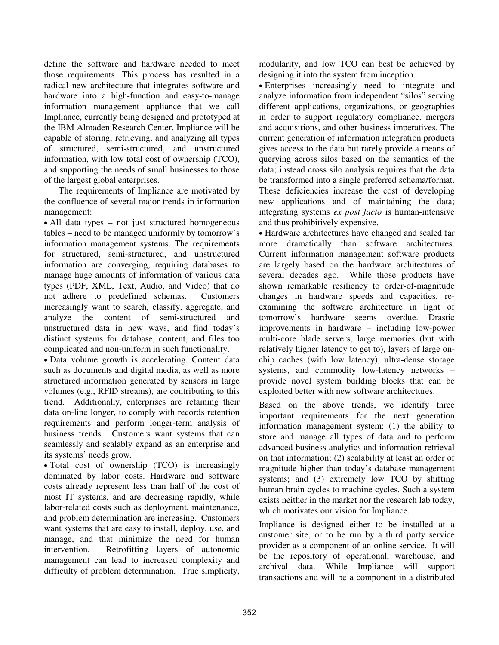define the software and hardware needed to meet those requirements. This process has resulted in a radical new architecture that integrates software and hardware into a high-function and easy-to-manage information management appliance that we call Impliance, currently being designed and prototyped at the IBM Almaden Research Center. Impliance will be capable of storing, retrieving, and analyzing all types of structured, semi-structured, and unstructured information, with low total cost of ownership (TCO), and supporting the needs of small businesses to those of the largest global enterprises.

The requirements of Impliance are motivated by the confluence of several major trends in information management:

• All data types – not just structured homogeneous tables – need to be managed uniformly by tomorrow's information management systems. The requirements for structured, semi-structured, and unstructured information are converging, requiring databases to manage huge amounts of information of various data types (PDF, XML, Text, Audio, and Video) that do not adhere to predefined schemas. Customers increasingly want to search, classify, aggregate, and analyze the content of semi-structured and unstructured data in new ways, and find today's distinct systems for database, content, and files too complicated and non-uniform in such functionality.

 Data volume growth is accelerating. Content data such as documents and digital media, as well as more structured information generated by sensors in large volumes (e.g., RFID streams), are contributing to this trend. Additionally, enterprises are retaining their data on-line longer, to comply with records retention requirements and perform longer-term analysis of business trends. Customers want systems that can seamlessly and scalably expand as an enterprise and its systems' needs grow.

 Total cost of ownership (TCO) is increasingly dominated by labor costs. Hardware and software costs already represent less than half of the cost of most IT systems, and are decreasing rapidly, while labor-related costs such as deployment, maintenance, and problem determination are increasing. Customers want systems that are easy to install, deploy, use, and manage, and that minimize the need for human intervention. Retrofitting layers of autonomic management can lead to increased complexity and difficulty of problem determination. True simplicity,

modularity, and low TCO can best be achieved by designing it into the system from inception.

 Enterprises increasingly need to integrate and analyze information from independent "silos" serving different applications, organizations, or geographies in order to support regulatory compliance, mergers and acquisitions, and other business imperatives. The current generation of information integration products gives access to the data but rarely provide a means of querying across silos based on the semantics of the data; instead cross silo analysis requires that the data be transformed into a single preferred schema/format. These deficiencies increase the cost of developing new applications and of maintaining the data; integrating systems *ex post facto* is human-intensive and thus prohibitively expensive.

 Hardware architectures have changed and scaled far more dramatically than software architectures. Current information management software products are largely based on the hardware architectures of several decades ago. While those products have shown remarkable resiliency to order-of-magnitude changes in hardware speeds and capacities, reexamining the software architecture in light of tomorrow's hardware seems overdue. Drastic improvements in hardware – including low-power multi-core blade servers, large memories (but with relatively higher latency to get to), layers of large onchip caches (with low latency), ultra-dense storage systems, and commodity low-latency networks – provide novel system building blocks that can be exploited better with new software architectures.

Based on the above trends, we identify three important requirements for the next generation information management system: (1) the ability to store and manage all types of data and to perform advanced business analytics and information retrieval on that information; (2) scalability at least an order of magnitude higher than today's database management systems; and (3) extremely low TCO by shifting human brain cycles to machine cycles. Such a system exists neither in the market nor the research lab today, which motivates our vision for Impliance.

Impliance is designed either to be installed at a customer site, or to be run by a third party service provider as a component of an online service. It will be the repository of operational, warehouse, and archival data. While Impliance will support transactions and will be a component in a distributed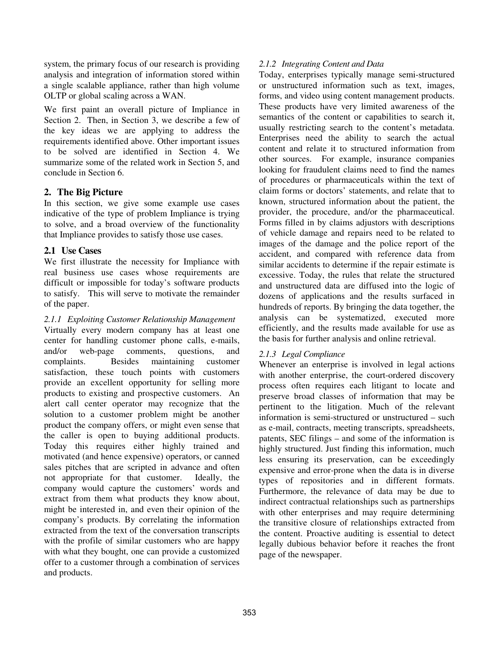system, the primary focus of our research is providing analysis and integration of information stored within a single scalable appliance, rather than high volume OLTP or global scaling across a WAN.

We first paint an overall picture of Impliance in Section 2. Then, in Section 3, we describe a few of the key ideas we are applying to address the requirements identified above. Other important issues to be solved are identified in Section 4. We summarize some of the related work in Section 5, and conclude in Section 6.

## **2. The Big Picture**

In this section, we give some example use cases indicative of the type of problem Impliance is trying to solve, and a broad overview of the functionality that Impliance provides to satisfy those use cases.

#### **2.1 Use Cases**

We first illustrate the necessity for Impliance with real business use cases whose requirements are difficult or impossible for today's software products to satisfy. This will serve to motivate the remainder of the paper.

*2.1.1 Exploiting Customer Relationship Management* Virtually every modern company has at least one center for handling customer phone calls, e-mails, and/or web-page comments, questions, and complaints. Besides maintaining customer satisfaction, these touch points with customers provide an excellent opportunity for selling more products to existing and prospective customers. An alert call center operator may recognize that the solution to a customer problem might be another product the company offers, or might even sense that the caller is open to buying additional products. Today this requires either highly trained and motivated (and hence expensive) operators, or canned sales pitches that are scripted in advance and often not appropriate for that customer. Ideally, the company would capture the customers' words and extract from them what products they know about, might be interested in, and even their opinion of the company's products. By correlating the information extracted from the text of the conversation transcripts with the profile of similar customers who are happy with what they bought, one can provide a customized offer to a customer through a combination of services and products.

## *2.1.2 Integrating Content and Data*

Today, enterprises typically manage semi-structured or unstructured information such as text, images, forms, and video using content management products. These products have very limited awareness of the semantics of the content or capabilities to search it, usually restricting search to the content's metadata. Enterprises need the ability to search the actual content and relate it to structured information from other sources. For example, insurance companies looking for fraudulent claims need to find the names of procedures or pharmaceuticals within the text of claim forms or doctors' statements, and relate that to known, structured information about the patient, the provider, the procedure, and/or the pharmaceutical. Forms filled in by claims adjustors with descriptions of vehicle damage and repairs need to be related to images of the damage and the police report of the accident, and compared with reference data from similar accidents to determine if the repair estimate is excessive. Today, the rules that relate the structured and unstructured data are diffused into the logic of dozens of applications and the results surfaced in hundreds of reports. By bringing the data together, the analysis can be systematized, executed more efficiently, and the results made available for use as the basis for further analysis and online retrieval.

## *2.1.3 Legal Compliance*

Whenever an enterprise is involved in legal actions with another enterprise, the court-ordered discovery process often requires each litigant to locate and preserve broad classes of information that may be pertinent to the litigation. Much of the relevant information is semi-structured or unstructured – such as e-mail, contracts, meeting transcripts, spreadsheets, patents, SEC filings – and some of the information is highly structured. Just finding this information, much less ensuring its preservation, can be exceedingly expensive and error-prone when the data is in diverse types of repositories and in different formats. Furthermore, the relevance of data may be due to indirect contractual relationships such as partnerships with other enterprises and may require determining the transitive closure of relationships extracted from the content. Proactive auditing is essential to detect legally dubious behavior before it reaches the front page of the newspaper.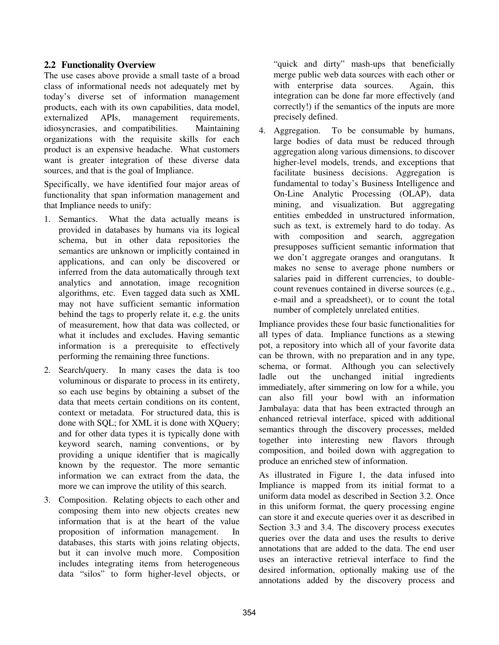## **2.2 Functionality Overview**

The use cases above provide a small taste of a broad class of informational needs not adequately met by today's diverse set of information management products, each with its own capabilities, data model, externalized APIs, management requirements, idiosyncrasies, and compatibilities. Maintaining organizations with the requisite skills for each product is an expensive headache. What customers want is greater integration of these diverse data sources, and that is the goal of Impliance.

Specifically, we have identified four major areas of functionality that span information management and that Impliance needs to unify:

- 1. Semantics. What the data actually means is provided in databases by humans via its logical schema, but in other data repositories the semantics are unknown or implicitly contained in applications, and can only be discovered or inferred from the data automatically through text analytics and annotation, image recognition algorithms, etc. Even tagged data such as XML may not have sufficient semantic information behind the tags to properly relate it, e.g. the units of measurement, how that data was collected, or what it includes and excludes. Having semantic information is a prerequisite to effectively performing the remaining three functions.
- 2. Search/query. In many cases the data is too voluminous or disparate to process in its entirety, so each use begins by obtaining a subset of the data that meets certain conditions on its content, context or metadata. For structured data, this is done with SQL; for XML it is done with XQuery; and for other data types it is typically done with keyword search, naming conventions, or by providing a unique identifier that is magically known by the requestor. The more semantic information we can extract from the data, the more we can improve the utility of this search.
- 3. Composition. Relating objects to each other and composing them into new objects creates new information that is at the heart of the value proposition of information management. In databases, this starts with joins relating objects, but it can involve much more. Composition includes integrating items from heterogeneous data "silos" to form higher-level objects, or

"quick and dirty" mash-ups that beneficially merge public web data sources with each other or with enterprise data sources. Again, this integration can be done far more effectively (and correctly!) if the semantics of the inputs are more precisely defined.

4. Aggregation. To be consumable by humans, large bodies of data must be reduced through aggregation along various dimensions, to discover higher-level models, trends, and exceptions that facilitate business decisions. Aggregation is fundamental to today's Business Intelligence and On-Line Analytic Processing (OLAP), data mining, and visualization. But aggregating entities embedded in unstructured information, such as text, is extremely hard to do today. As with composition and search, aggregation presupposes sufficient semantic information that we don't aggregate oranges and orangutans. It makes no sense to average phone numbers or salaries paid in different currencies, to doublecount revenues contained in diverse sources (e.g., e-mail and a spreadsheet), or to count the total number of completely unrelated entities.

Impliance provides these four basic functionalities for all types of data. Impliance functions as a stewing pot, a repository into which all of your favorite data can be thrown, with no preparation and in any type, schema, or format. Although you can selectively ladle out the unchanged initial ingredients immediately, after simmering on low for a while, you can also fill your bowl with an information Jambalaya: data that has been extracted through an enhanced retrieval interface, spiced with additional semantics through the discovery processes, melded together into interesting new flavors through composition, and boiled down with aggregation to produce an enriched stew of information.

As illustrated in Figure 1, the data infused into Impliance is mapped from its initial format to a uniform data model as described in Section 3.2. Once in this uniform format, the query processing engine can store it and execute queries over it as described in Section 3.3 and 3.4. The discovery process executes queries over the data and uses the results to derive annotations that are added to the data. The end user uses an interactive retrieval interface to find the desired information, optionally making use of the annotations added by the discovery process and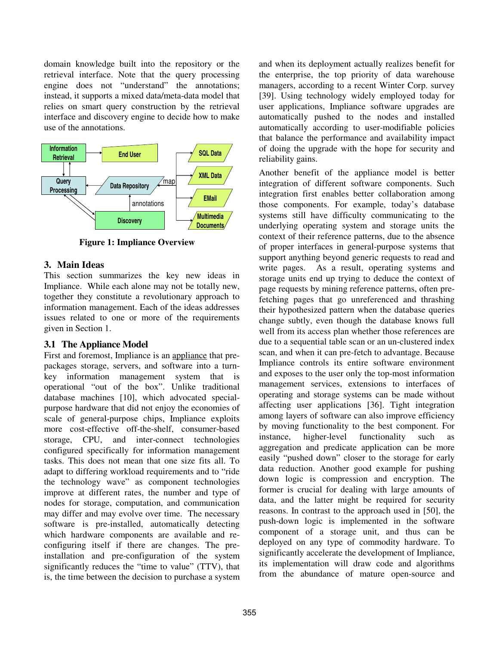domain knowledge built into the repository or the retrieval interface. Note that the query processing engine does not "understand" the annotations; instead, it supports a mixed data/meta-data model that relies on smart query construction by the retrieval interface and discovery engine to decide how to make use of the annotations.



**Figure 1: Impliance Overview**

## **3. Main Ideas**

This section summarizes the key new ideas in Impliance. While each alone may not be totally new, together they constitute a revolutionary approach to information management. Each of the ideas addresses issues related to one or more of the requirements given in Section 1.

# **3.1 The Appliance Model**

First and foremost, Impliance is an appliance that prepackages storage, servers, and software into a turnkey information management system that is operational "out of the box". Unlike traditional database machines [10], which advocated specialpurpose hardware that did not enjoy the economies of scale of general-purpose chips, Impliance exploits more cost-effective off-the-shelf, consumer-based storage, CPU, and inter-connect technologies configured specifically for information management tasks. This does not mean that one size fits all. To adapt to differing workload requirements and to "ride the technology wave" as component technologies improve at different rates, the number and type of nodes for storage, computation, and communication may differ and may evolve over time. The necessary software is pre-installed, automatically detecting which hardware components are available and reconfiguring itself if there are changes. The preinstallation and pre-configuration of the system significantly reduces the "time to value" (TTV), that is, the time between the decision to purchase a system

and when its deployment actually realizes benefit for the enterprise, the top priority of data warehouse managers, according to a recent Winter Corp. survey [39]. Using technology widely employed today for user applications, Impliance software upgrades are automatically pushed to the nodes and installed automatically according to user-modifiable policies that balance the performance and availability impact of doing the upgrade with the hope for security and reliability gains.

Another benefit of the appliance model is better integration of different software components. Such integration first enables better collaboration among those components. For example, today's database systems still have difficulty communicating to the underlying operating system and storage units the context of their reference patterns, due to the absence of proper interfaces in general-purpose systems that support anything beyond generic requests to read and write pages. As a result, operating systems and storage units end up trying to deduce the context of page requests by mining reference patterns, often prefetching pages that go unreferenced and thrashing their hypothesized pattern when the database queries change subtly, even though the database knows full well from its access plan whether those references are due to a sequential table scan or an un-clustered index scan, and when it can pre-fetch to advantage. Because Impliance controls its entire software environment and exposes to the user only the top-most information management services, extensions to interfaces of operating and storage systems can be made without affecting user applications [36]. Tight integration among layers of software can also improve efficiency by moving functionality to the best component. For instance, higher-level functionality such as aggregation and predicate application can be more easily "pushed down" closer to the storage for early data reduction. Another good example for pushing down logic is compression and encryption. The former is crucial for dealing with large amounts of data, and the latter might be required for security reasons. In contrast to the approach used in [50], the push-down logic is implemented in the software component of a storage unit, and thus can be deployed on any type of commodity hardware. To significantly accelerate the development of Impliance, its implementation will draw code and algorithms from the abundance of mature open-source and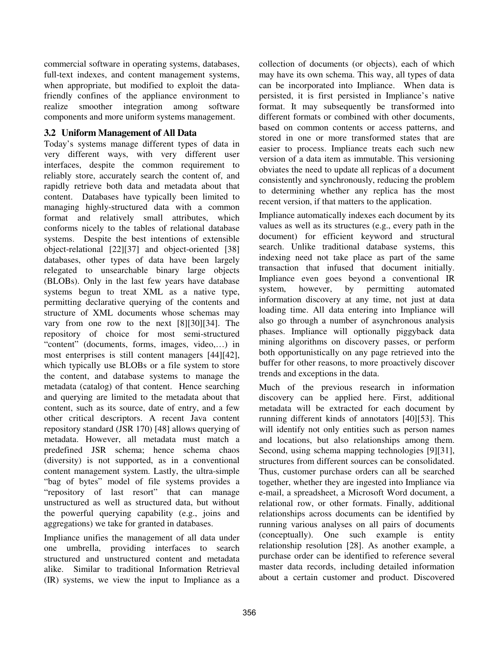commercial software in operating systems, databases, full-text indexes, and content management systems, when appropriate, but modified to exploit the datafriendly confines of the appliance environment to realize smoother integration among software components and more uniform systems management.

## **3.2 Uniform Management of All Data**

Today's systems manage different types of data in very different ways, with very different user interfaces, despite the common requirement to reliably store, accurately search the content of, and rapidly retrieve both data and metadata about that content. Databases have typically been limited to managing highly-structured data with a common format and relatively small attributes, which conforms nicely to the tables of relational database systems. Despite the best intentions of extensible object-relational [22][37] and object-oriented [38] databases, other types of data have been largely relegated to unsearchable binary large objects (BLOBs). Only in the last few years have database systems begun to treat XML as a native type, permitting declarative querying of the contents and structure of XML documents whose schemas may vary from one row to the next [8][30][34]. The repository of choice for most semi-structured "content" (documents, forms, images, video,…) in most enterprises is still content managers [44][42], which typically use BLOBs or a file system to store the content, and database systems to manage the metadata (catalog) of that content. Hence searching and querying are limited to the metadata about that content, such as its source, date of entry, and a few other critical descriptors. A recent Java content repository standard (JSR 170) [48] allows querying of metadata. However, all metadata must match a predefined JSR schema; hence schema chaos (diversity) is not supported, as in a conventional content management system. Lastly, the ultra-simple "bag of bytes" model of file systems provides a "repository of last resort" that can manage unstructured as well as structured data, but without the powerful querying capability (e.g., joins and aggregations) we take for granted in databases.

Impliance unifies the management of all data under one umbrella, providing interfaces to search structured and unstructured content and metadata alike. Similar to traditional Information Retrieval (IR) systems, we view the input to Impliance as a collection of documents (or objects), each of which may have its own schema. This way, all types of data can be incorporated into Impliance. When data is persisted, it is first persisted in Impliance's native format. It may subsequently be transformed into different formats or combined with other documents, based on common contents or access patterns, and stored in one or more transformed states that are easier to process. Impliance treats each such new version of a data item as immutable. This versioning obviates the need to update all replicas of a document consistently and synchronously, reducing the problem to determining whether any replica has the most recent version, if that matters to the application.

Impliance automatically indexes each document by its values as well as its structures (e.g., every path in the document) for efficient keyword and structural search. Unlike traditional database systems, this indexing need not take place as part of the same transaction that infused that document initially. Impliance even goes beyond a conventional IR system, however, by permitting automated information discovery at any time, not just at data loading time. All data entering into Impliance will also go through a number of asynchronous analysis phases. Impliance will optionally piggyback data mining algorithms on discovery passes, or perform both opportunistically on any page retrieved into the buffer for other reasons, to more proactively discover trends and exceptions in the data.

Much of the previous research in information discovery can be applied here. First, additional metadata will be extracted for each document by running different kinds of annotators [40][53]. This will identify not only entities such as person names and locations, but also relationships among them. Second, using schema mapping technologies [9][31], structures from different sources can be consolidated. Thus, customer purchase orders can all be searched together, whether they are ingested into Impliance via e-mail, a spreadsheet, a Microsoft Word document, a relational row, or other formats. Finally, additional relationships across documents can be identified by running various analyses on all pairs of documents (conceptually). One such example is entity relationship resolution [28]. As another example, a purchase order can be identified to reference several master data records, including detailed information about a certain customer and product. Discovered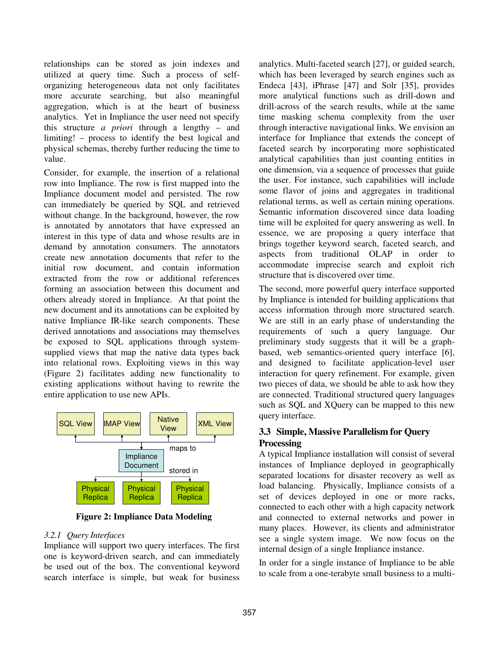relationships can be stored as join indexes and utilized at query time. Such a process of selforganizing heterogeneous data not only facilitates more accurate searching, but also meaningful aggregation, which is at the heart of business analytics. Yet in Impliance the user need not specify this structure *a priori* through a lengthy – and limiting! – process to identify the best logical and physical schemas, thereby further reducing the time to value.

Consider, for example, the insertion of a relational row into Impliance. The row is first mapped into the Impliance document model and persisted. The row can immediately be queried by SQL and retrieved without change. In the background, however, the row is annotated by annotators that have expressed an interest in this type of data and whose results are in demand by annotation consumers. The annotators create new annotation documents that refer to the initial row document, and contain information extracted from the row or additional references forming an association between this document and others already stored in Impliance. At that point the new document and its annotations can be exploited by native Impliance IR-like search components. These derived annotations and associations may themselves be exposed to SQL applications through systemsupplied views that map the native data types back into relational rows. Exploiting views in this way (Figure 2) facilitates adding new functionality to existing applications without having to rewrite the entire application to use new APIs.



**Figure 2: Impliance Data Modeling**

#### *3.2.1 Query Interfaces*

Impliance will support two query interfaces. The first one is keyword-driven search, and can immediately be used out of the box. The conventional keyword search interface is simple, but weak for business

analytics. Multi-faceted search [27], or guided search, which has been leveraged by search engines such as Endeca [43], iPhrase [47] and Solr [35], provides more analytical functions such as drill-down and drill-across of the search results, while at the same time masking schema complexity from the user through interactive navigational links. We envision an interface for Impliance that extends the concept of faceted search by incorporating more sophisticated analytical capabilities than just counting entities in one dimension, via a sequence of processes that guide the user. For instance, such capabilities will include some flavor of joins and aggregates in traditional relational terms, as well as certain mining operations. Semantic information discovered since data loading time will be exploited for query answering as well. In essence, we are proposing a query interface that brings together keyword search, faceted search, and aspects from traditional OLAP in order to accommodate imprecise search and exploit rich structure that is discovered over time.

The second, more powerful query interface supported by Impliance is intended for building applications that access information through more structured search. We are still in an early phase of understanding the requirements of such a query language. Our preliminary study suggests that it will be a graphbased, web semantics-oriented query interface [6], and designed to facilitate application-level user interaction for query refinement. For example, given two pieces of data, we should be able to ask how they are connected. Traditional structured query languages such as SQL and XQuery can be mapped to this new query interface.

# **3.3 Simple, Massive Parallelism for Query Processing**

A typical Impliance installation will consist of several instances of Impliance deployed in geographically separated locations for disaster recovery as well as load balancing. Physically, Impliance consists of a set of devices deployed in one or more racks, connected to each other with a high capacity network and connected to external networks and power in many places. However, its clients and administrator see a single system image. We now focus on the internal design of a single Impliance instance.

In order for a single instance of Impliance to be able to scale from a one-terabyte small business to a multi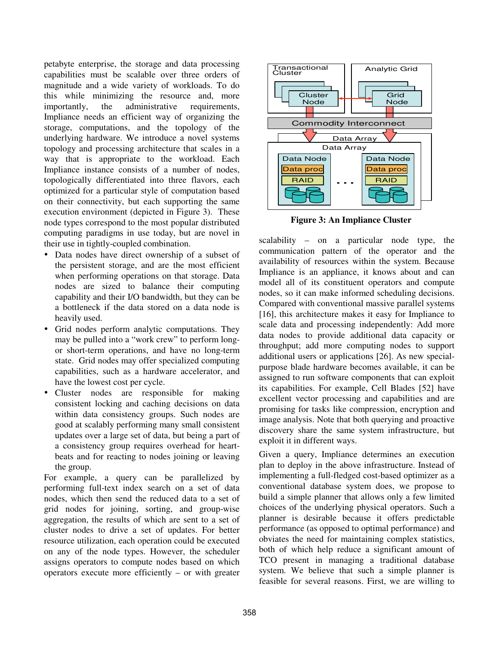petabyte enterprise, the storage and data processing capabilities must be scalable over three orders of magnitude and a wide variety of workloads. To do this while minimizing the resource and, more importantly, the administrative requirements, Impliance needs an efficient way of organizing the storage, computations, and the topology of the underlying hardware. We introduce a novel systems topology and processing architecture that scales in a way that is appropriate to the workload. Each Impliance instance consists of a number of nodes, topologically differentiated into three flavors, each optimized for a particular style of computation based on their connectivity, but each supporting the same execution environment (depicted in Figure 3). These node types correspond to the most popular distributed computing paradigms in use today, but are novel in their use in tightly-coupled combination.

- Data nodes have direct ownership of a subset of the persistent storage, and are the most efficient when performing operations on that storage. Data nodes are sized to balance their computing capability and their I/O bandwidth, but they can be a bottleneck if the data stored on a data node is heavily used.
- Grid nodes perform analytic computations. They may be pulled into a "work crew" to perform longor short-term operations, and have no long-term state. Grid nodes may offer specialized computing capabilities, such as a hardware accelerator, and have the lowest cost per cycle.
- Cluster nodes are responsible for making consistent locking and caching decisions on data within data consistency groups. Such nodes are good at scalably performing many small consistent updates over a large set of data, but being a part of a consistency group requires overhead for heartbeats and for reacting to nodes joining or leaving the group.

For example, a query can be parallelized by performing full-text index search on a set of data nodes, which then send the reduced data to a set of grid nodes for joining, sorting, and group-wise aggregation, the results of which are sent to a set of cluster nodes to drive a set of updates. For better resource utilization, each operation could be executed on any of the node types. However, the scheduler assigns operators to compute nodes based on which operators execute more efficiently – or with greater



**Figure 3: An Impliance Cluster**

scalability – on a particular node type, the communication pattern of the operator and the availability of resources within the system. Because Impliance is an appliance, it knows about and can model all of its constituent operators and compute nodes, so it can make informed scheduling decisions. Compared with conventional massive parallel systems [16], this architecture makes it easy for Impliance to scale data and processing independently: Add more data nodes to provide additional data capacity or throughput; add more computing nodes to support additional users or applications [26]. As new specialpurpose blade hardware becomes available, it can be assigned to run software components that can exploit its capabilities. For example, Cell Blades [52] have excellent vector processing and capabilities and are promising for tasks like compression, encryption and image analysis. Note that both querying and proactive discovery share the same system infrastructure, but exploit it in different ways.

Given a query, Impliance determines an execution plan to deploy in the above infrastructure. Instead of implementing a full-fledged cost-based optimizer as a conventional database system does, we propose to build a simple planner that allows only a few limited choices of the underlying physical operators. Such a planner is desirable because it offers predictable performance (as opposed to optimal performance) and obviates the need for maintaining complex statistics, both of which help reduce a significant amount of TCO present in managing a traditional database system. We believe that such a simple planner is feasible for several reasons. First, we are willing to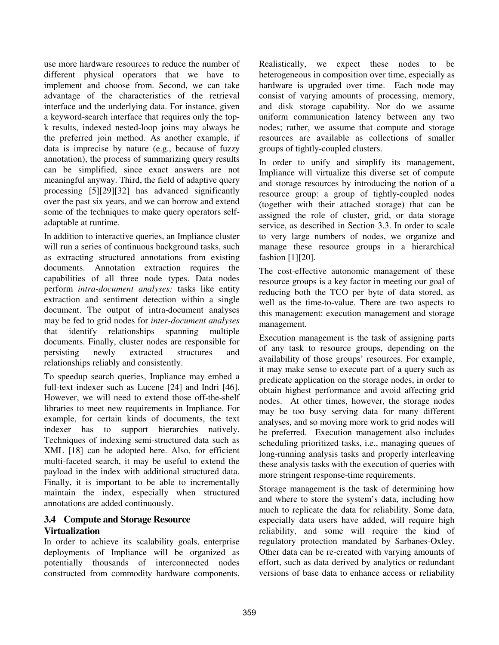use more hardware resources to reduce the number of different physical operators that we have to implement and choose from. Second, we can take advantage of the characteristics of the retrieval interface and the underlying data. For instance, given a keyword-search interface that requires only the topk results, indexed nested-loop joins may always be the preferred join method. As another example, if data is imprecise by nature (e.g., because of fuzzy annotation), the process of summarizing query results can be simplified, since exact answers are not meaningful anyway. Third, the field of adaptive query processing [5][29][32] has advanced significantly over the past six years, and we can borrow and extend some of the techniques to make query operators selfadaptable at runtime.

In addition to interactive queries, an Impliance cluster will run a series of continuous background tasks, such as extracting structured annotations from existing documents. Annotation extraction requires the capabilities of all three node types. Data nodes perform *intra-document analyses:* tasks like entity extraction and sentiment detection within a single document. The output of intra-document analyses may be fed to grid nodes for *inter-document analyses* that identify relationships spanning multiple documents. Finally, cluster nodes are responsible for persisting newly extracted structures and relationships reliably and consistently.

To speedup search queries, Impliance may embed a full-text indexer such as Lucene [24] and Indri [46]. However, we will need to extend those off-the-shelf libraries to meet new requirements in Impliance. For example, for certain kinds of documents, the text indexer has to support hierarchies natively. Techniques of indexing semi-structured data such as XML [18] can be adopted here. Also, for efficient multi-faceted search, it may be useful to extend the payload in the index with additional structured data. Finally, it is important to be able to incrementally maintain the index, especially when structured annotations are added continuously.

# **3.4 Compute and Storage Resource Virtualization**

In order to achieve its scalability goals, enterprise deployments of Impliance will be organized as potentially thousands of interconnected nodes constructed from commodity hardware components.

Realistically, we expect these nodes to be heterogeneous in composition over time, especially as hardware is upgraded over time. Each node may consist of varying amounts of processing, memory, and disk storage capability. Nor do we assume uniform communication latency between any two nodes; rather, we assume that compute and storage resources are available as collections of smaller groups of tightly-coupled clusters.

In order to unify and simplify its management, Impliance will virtualize this diverse set of compute and storage resources by introducing the notion of a resource group: a group of tightly-coupled nodes (together with their attached storage) that can be assigned the role of cluster, grid, or data storage service, as described in Section 3.3. In order to scale to very large numbers of nodes, we organize and manage these resource groups in a hierarchical fashion [1][20].

The cost-effective autonomic management of these resource groups is a key factor in meeting our goal of reducing both the TCO per byte of data stored, as well as the time-to-value. There are two aspects to this management: execution management and storage management.

Execution management is the task of assigning parts of any task to resource groups, depending on the availability of those groups' resources. For example, it may make sense to execute part of a query such as predicate application on the storage nodes, in order to obtain highest performance and avoid affecting grid nodes. At other times, however, the storage nodes may be too busy serving data for many different analyses, and so moving more work to grid nodes will be preferred. Execution management also includes scheduling prioritized tasks, i.e., managing queues of long-running analysis tasks and properly interleaving these analysis tasks with the execution of queries with more stringent response-time requirements.

Storage management is the task of determining how and where to store the system's data, including how much to replicate the data for reliability. Some data, especially data users have added, will require high reliability, and some will require the kind of regulatory protection mandated by Sarbanes-Oxley. Other data can be re-created with varying amounts of effort, such as data derived by analytics or redundant versions of base data to enhance access or reliability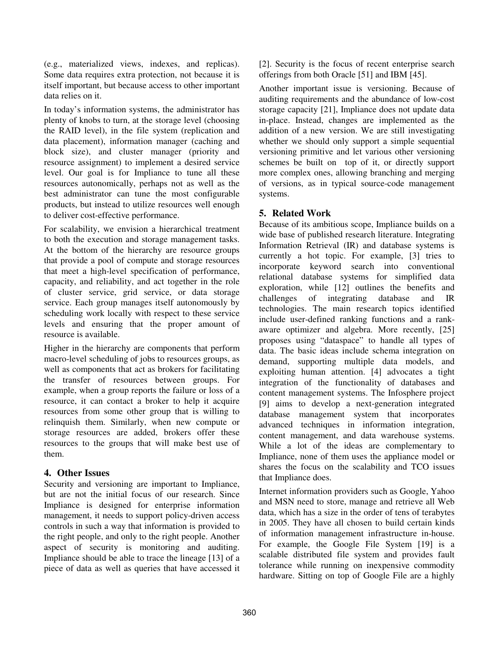(e.g., materialized views, indexes, and replicas). Some data requires extra protection, not because it is itself important, but because access to other important data relies on it.

In today's information systems, the administrator has plenty of knobs to turn, at the storage level (choosing the RAID level), in the file system (replication and data placement), information manager (caching and block size), and cluster manager (priority and resource assignment) to implement a desired service level. Our goal is for Impliance to tune all these resources autonomically, perhaps not as well as the best administrator can tune the most configurable products, but instead to utilize resources well enough to deliver cost-effective performance.

For scalability, we envision a hierarchical treatment to both the execution and storage management tasks. At the bottom of the hierarchy are resource groups that provide a pool of compute and storage resources that meet a high-level specification of performance, capacity, and reliability, and act together in the role of cluster service, grid service, or data storage service. Each group manages itself autonomously by scheduling work locally with respect to these service levels and ensuring that the proper amount of resource is available.

Higher in the hierarchy are components that perform macro-level scheduling of jobs to resources groups, as well as components that act as brokers for facilitating the transfer of resources between groups. For example, when a group reports the failure or loss of a resource, it can contact a broker to help it acquire resources from some other group that is willing to relinquish them. Similarly, when new compute or storage resources are added, brokers offer these resources to the groups that will make best use of them.

## **4. Other Issues**

Security and versioning are important to Impliance, but are not the initial focus of our research. Since Impliance is designed for enterprise information management, it needs to support policy-driven access controls in such a way that information is provided to the right people, and only to the right people. Another aspect of security is monitoring and auditing. Impliance should be able to trace the lineage [13] of a piece of data as well as queries that have accessed it

[2]. Security is the focus of recent enterprise search offerings from both Oracle [51] and IBM [45].

Another important issue is versioning. Because of auditing requirements and the abundance of low-cost storage capacity [21], Impliance does not update data in-place. Instead, changes are implemented as the addition of a new version. We are still investigating whether we should only support a simple sequential versioning primitive and let various other versioning schemes be built on top of it, or directly support more complex ones, allowing branching and merging of versions, as in typical source-code management systems.

# **5. Related Work**

Because of its ambitious scope, Impliance builds on a wide base of published research literature. Integrating Information Retrieval (IR) and database systems is currently a hot topic. For example, [3] tries to incorporate keyword search into conventional relational database systems for simplified data exploration, while [12] outlines the benefits and challenges of integrating database and IR technologies. The main research topics identified include user-defined ranking functions and a rankaware optimizer and algebra. More recently, [25] proposes using "dataspace" to handle all types of data. The basic ideas include schema integration on demand, supporting multiple data models, and exploiting human attention. [4] advocates a tight integration of the functionality of databases and content management systems. The Infosphere project [9] aims to develop a next-generation integrated database management system that incorporates advanced techniques in information integration, content management, and data warehouse systems. While a lot of the ideas are complementary to Impliance, none of them uses the appliance model or shares the focus on the scalability and TCO issues that Impliance does.

Internet information providers such as Google, Yahoo and MSN need to store, manage and retrieve all Web data, which has a size in the order of tens of terabytes in 2005. They have all chosen to build certain kinds of information management infrastructure in-house. For example, the Google File System [19] is a scalable distributed file system and provides fault tolerance while running on inexpensive commodity hardware. Sitting on top of Google File are a highly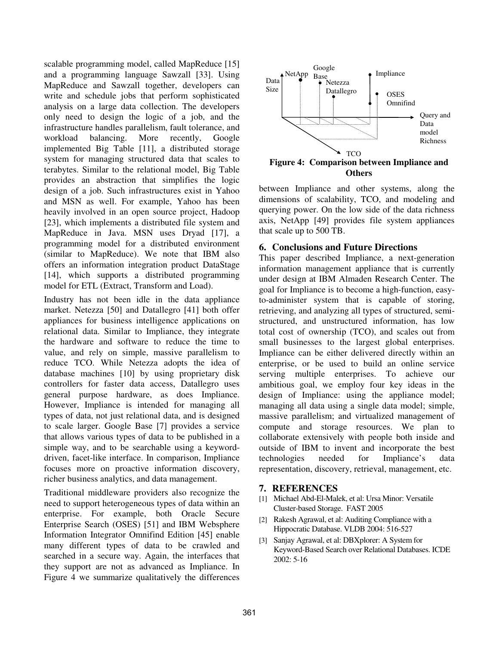scalable programming model, called MapReduce [15] and a programming language Sawzall [33]. Using MapReduce and Sawzall together, developers can write and schedule jobs that perform sophisticated analysis on a large data collection. The developers only need to design the logic of a job, and the infrastructure handles parallelism, fault tolerance, and workload balancing. More recently, Google implemented Big Table [11], a distributed storage system for managing structured data that scales to terabytes. Similar to the relational model, Big Table provides an abstraction that simplifies the logic design of a job. Such infrastructures exist in Yahoo and MSN as well. For example, Yahoo has been heavily involved in an open source project, Hadoop [23], which implements a distributed file system and MapReduce in Java. MSN uses Dryad [17], a programming model for a distributed environment (similar to MapReduce). We note that IBM also offers an information integration product DataStage [14], which supports a distributed programming model for ETL (Extract, Transform and Load).

Industry has not been idle in the data appliance market. Netezza [50] and Datallegro [41] both offer appliances for business intelligence applications on relational data. Similar to Impliance, they integrate the hardware and software to reduce the time to value, and rely on simple, massive parallelism to reduce TCO. While Netezza adopts the idea of database machines [10] by using proprietary disk controllers for faster data access, Datallegro uses general purpose hardware, as does Impliance. However, Impliance is intended for managing all types of data, not just relational data, and is designed to scale larger. Google Base [7] provides a service that allows various types of data to be published in a simple way, and to be searchable using a keyworddriven, facet-like interface. In comparison, Impliance focuses more on proactive information discovery, richer business analytics, and data management.

Traditional middleware providers also recognize the need to support heterogeneous types of data within an enterprise. For example, both Oracle Secure Enterprise Search (OSES) [51] and IBM Websphere Information Integrator Omnifind Edition [45] enable many different types of data to be crawled and searched in a secure way. Again, the interfaces that they support are not as advanced as Impliance. In Figure 4 we summarize qualitatively the differences



between Impliance and other systems, along the dimensions of scalability, TCO, and modeling and querying power. On the low side of the data richness axis, NetApp [49] provides file system appliances that scale up to 500 TB.

## **6. Conclusions and Future Directions**

This paper described Impliance, a next-generation information management appliance that is currently under design at IBM Almaden Research Center. The goal for Impliance is to become a high-function, easyto-administer system that is capable of storing, retrieving, and analyzing all types of structured, semistructured, and unstructured information, has low total cost of ownership (TCO), and scales out from small businesses to the largest global enterprises. Impliance can be either delivered directly within an enterprise, or be used to build an online service serving multiple enterprises. To achieve our ambitious goal, we employ four key ideas in the design of Impliance: using the appliance model; managing all data using a single data model; simple, massive parallelism; and virtualized management of compute and storage resources. We plan to collaborate extensively with people both inside and outside of IBM to invent and incorporate the best technologies needed for Impliance's data representation, discovery, retrieval, management, etc.

## **7. REFERENCES**

- [1] Michael Abd-El-Malek, et al: Ursa Minor: Versatile Cluster-based Storage. FAST 2005
- [2] Rakesh Agrawal, et al: Auditing Compliance with a Hippocratic Database. VLDB 2004: 516-527
- [3] Sanjay Agrawal, et al: DBXplorer: A System for Keyword-Based Search over Relational Databases. ICDE 2002: 5-16